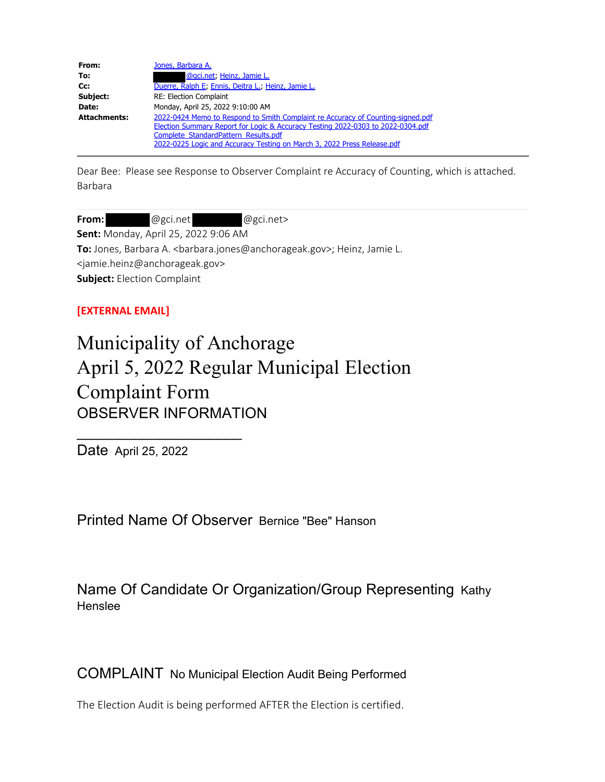| From:               | Jones, Barbara A.                                                               |
|---------------------|---------------------------------------------------------------------------------|
| To:                 | @gci.net, Heinz, Jamie L.                                                       |
| Cc:                 | Duerre, Ralph E; Ennis, Deitra L.; Heinz, Jamie L.                              |
| Subject:            | RE: Election Complaint                                                          |
| Date:               | Monday, April 25, 2022 9:10:00 AM                                               |
| <b>Attachments:</b> | 2022-0424 Memo to Respond to Smith Complaint re Accuracy of Counting-signed.pdf |
|                     | Election Summary Report for Logic & Accuracy Testing 2022-0303 to 2022-0304.pdf |
|                     | Complete StandardPattern Results.pdf                                            |
|                     | 2022-0225 Logic and Accuracy Testing on March 3, 2022 Press Release.pdf         |

Dear Bee: Please see Response to Observer Complaint re Accuracy of Counting, which is attached. Barbara

From: @gci.net @gci.net>

**Sent:** Monday, April 25, 2022 9:06 AM

To: Jones, Barbara A. <barbara.jones@anchorageak.gov>; Heinz, Jamie L. <jamie.heinz@anchorageak.gov> **Subject:** Election Complaint

### **[EXTERNAL EMAIL]**

# Municipality of Anchorage April 5, 2022 Regular Municipal Election Complaint Form OBSERVER INFORMATION

Date April 25, 2022

\_\_\_\_\_\_\_\_\_\_\_\_\_\_\_\_\_\_\_\_

Printed Name Of Observer Bernice "Bee" Hanson

Name Of Candidate Or Organization/Group Representing Kathy Henslee

COMPLAINT No Municipal Election Audit Being Performed

The Election Audit is being performed AFTER the Election is certified.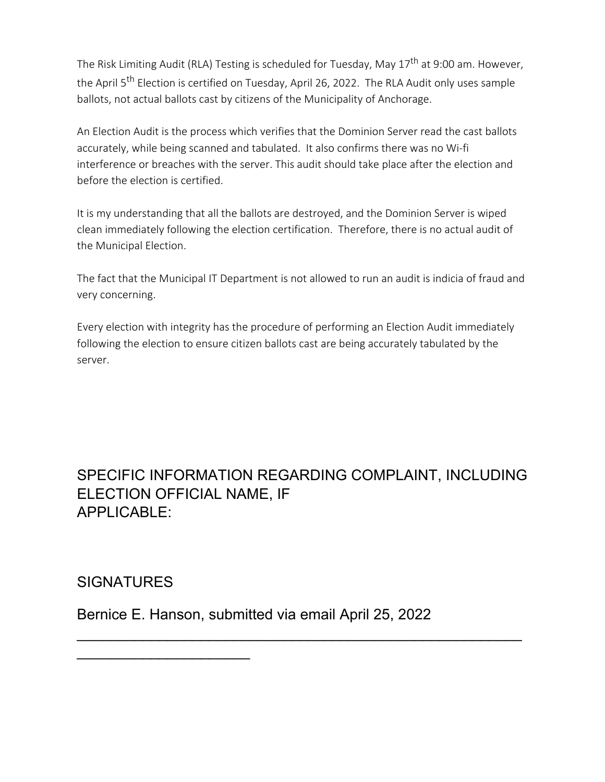The Risk Limiting Audit (RLA) Testing is scheduled for Tuesday, May 17<sup>th</sup> at 9:00 am. However, the April 5<sup>th</sup> Election is certified on Tuesday, April 26, 2022. The RLA Audit only uses sample ballots, not actual ballots cast by citizens of the Municipality of Anchorage.

An Election Audit is the process which verifies that the Dominion Server read the cast ballots accurately, while being scanned and tabulated. It also confirms there was no Wi-fi interference or breaches with the server. This audit should take place after the election and before the election is certified.

It is my understanding that all the ballots are destroyed, and the Dominion Server is wiped clean immediately following the election certification. Therefore, there is no actual audit of the Municipal Election.

The fact that the Municipal IT Department is not allowed to run an audit is indicia of fraud and very concerning.

Every election with integrity has the procedure of performing an Election Audit immediately following the election to ensure citizen ballots cast are being accurately tabulated by the server.

# SPECIFIC INFORMATION REGARDING COMPLAINT, INCLUDING ELECTION OFFICIAL NAME, IF APPLICABLE:

\_\_\_\_\_\_\_\_\_\_\_\_\_\_\_\_\_\_\_\_\_\_\_\_\_\_\_\_\_\_\_\_\_\_\_\_\_\_\_\_\_\_\_\_\_\_\_\_\_\_\_\_\_\_

## **SIGNATURES**

\_\_\_\_\_\_\_\_\_\_\_\_\_\_\_\_\_\_\_\_\_

Bernice E. Hanson, submitted via email April 25, 2022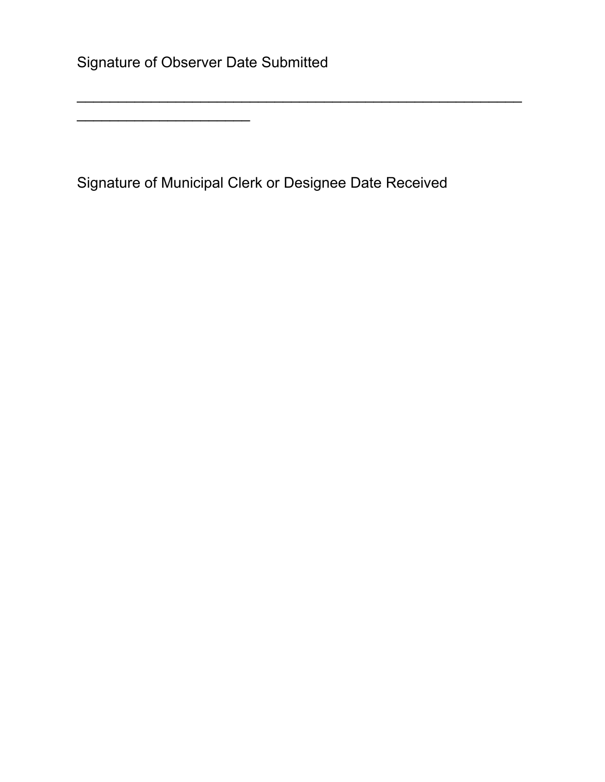Signature of Observer Date Submitted

\_\_\_\_\_\_\_\_\_\_\_\_\_\_\_\_\_\_\_\_\_

Signature of Municipal Clerk or Designee Date Received

\_\_\_\_\_\_\_\_\_\_\_\_\_\_\_\_\_\_\_\_\_\_\_\_\_\_\_\_\_\_\_\_\_\_\_\_\_\_\_\_\_\_\_\_\_\_\_\_\_\_\_\_\_\_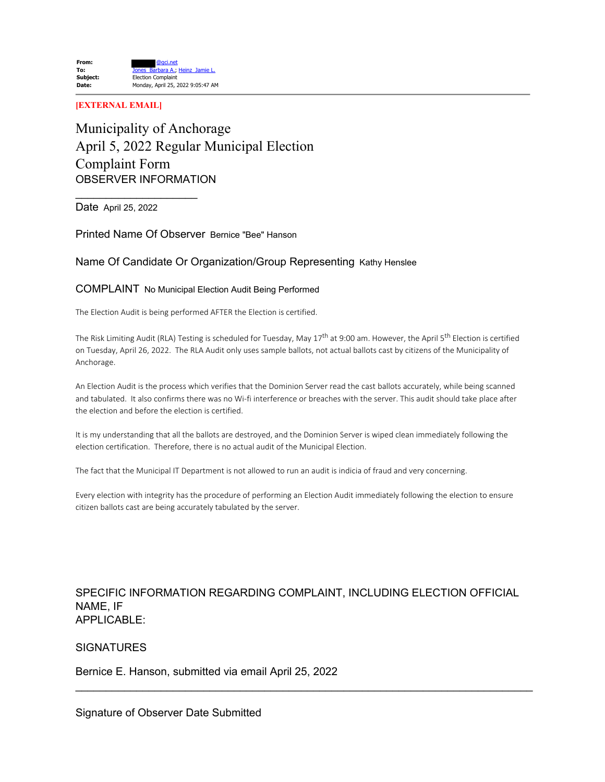#### **[EXTERNAL EMAIL]**

### Municipality of Anchorage April 5, 2022 Regular Municipal Election Complaint Form OBSERVER INFORMATION

Date April 25, 2022

 $\_$ 

Printed Name Of Observer Bernice "Bee" Hanson

### Name Of Candidate Or Organization/Group Representing Kathy Henslee

#### COMPLAINT No Municipal Election Audit Being Performed

The Election Audit is being performed AFTER the Election is certified.

The Risk Limiting Audit (RLA) Testing is scheduled for Tuesday, May 17<sup>th</sup> at 9:00 am. However, the April 5<sup>th</sup> Election is certified on Tuesday, April 26, 2022. The RLA Audit only uses sample ballots, not actual ballots cast by citizens of the Municipality of Anchorage.

An Election Audit is the process which verifies that the Dominion Server read the cast ballots accurately, while being scanned and tabulated. It also confirms there was no Wi-fi interference or breaches with the server. This audit should take place after the election and before the election is certified.

It is my understanding that all the ballots are destroyed, and the Dominion Server is wiped clean immediately following the election certification. Therefore, there is no actual audit of the Municipal Election.

The fact that the Municipal IT Department is not allowed to run an audit is indicia of fraud and very concerning.

Every election with integrity has the procedure of performing an Election Audit immediately following the election to ensure citizen ballots cast are being accurately tabulated by the server.

### SPECIFIC INFORMATION REGARDING COMPLAINT, INCLUDING ELECTION OFFICIAL NAME, IF APPLICABLE:

\_\_\_\_\_\_\_\_\_\_\_\_\_\_\_\_\_\_\_\_\_\_\_\_\_\_\_\_\_\_\_\_\_\_\_\_\_\_\_\_\_\_\_\_\_\_\_\_\_\_\_\_\_\_\_\_\_\_\_\_\_\_\_\_\_\_\_\_\_\_\_\_\_\_\_

### **SIGNATURES**

Bernice E. Hanson, submitted via email April 25, 2022